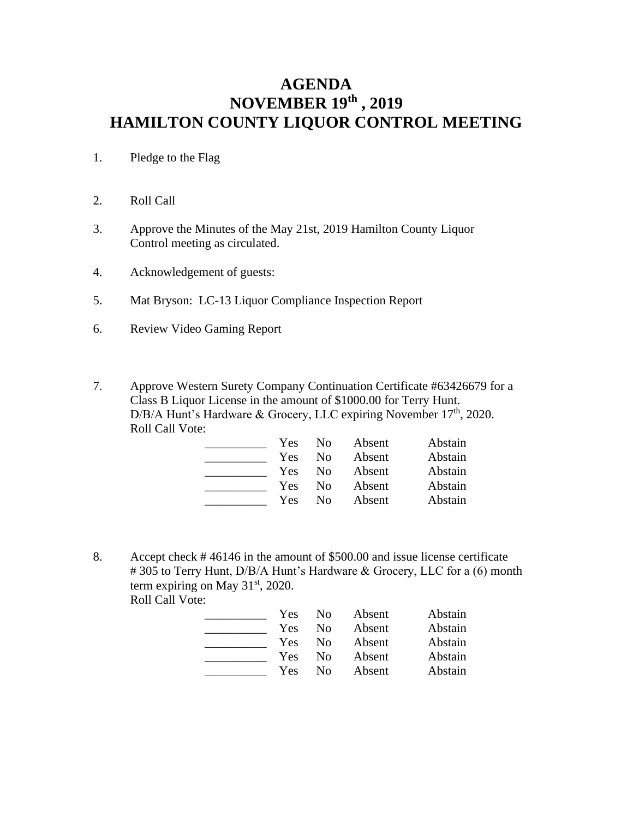## **AGENDA NOVEMBER 19th , 2019 HAMILTON COUNTY LIQUOR CONTROL MEETING**

- 1. Pledge to the Flag
- 2. Roll Call
- 3. Approve the Minutes of the May 21st, 2019 Hamilton County Liquor Control meeting as circulated.
- 4. Acknowledgement of guests:
- 5. Mat Bryson: LC-13 Liquor Compliance Inspection Report
- 6. Review Video Gaming Report
- 7. Approve Western Surety Company Continuation Certificate #63426679 for a Class B Liquor License in the amount of \$1000.00 for Terry Hunt. D/B/A Hunt's Hardware & Grocery, LLC expiring November 17<sup>th</sup>, 2020. Roll Call Vote:

| Yes | N <sub>0</sub> | Absent | Abstain |
|-----|----------------|--------|---------|
| Yes | Nο             | Absent | Abstain |
| Yes | Nο             | Absent | Abstain |
| Yes | Nο             | Absent | Abstain |
| Yes | Nο             | Absent | Abstain |

8. Accept check # 46146 in the amount of \$500.00 and issue license certificate # 305 to Terry Hunt, D/B/A Hunt's Hardware & Grocery, LLC for a (6) month term expiring on May  $31<sup>st</sup>$ , 2020. Roll Call Vote:

| Yes | No.      | Absent | Abstain |
|-----|----------|--------|---------|
| Yes | No.      | Absent | Abstain |
| Yes | $\rm No$ | Absent | Abstain |
| Yes | No.      | Absent | Abstain |
| Yes | Nο       | Absent | Abstain |